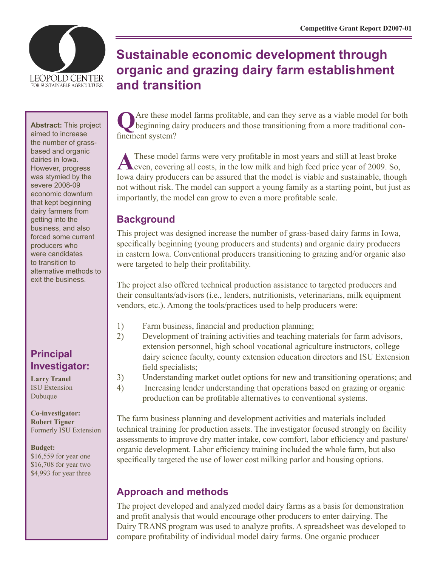

**Abstract:** This project aimed to increase the number of grassbased and organic dairies in Iowa. However, progress was stymied by the severe 2008-09 economic downturn that kept beginning dairy farmers from getting into the business, and also forced some current producers who were candidates to transition to alternative methods to exit the business.

# **Principal Investigator:**

**Larry Tranel** ISU Extension Dubuque

**Co-investigator: Robert Tigner** Formerly ISU Extension

#### **Budget:**

\$16,559 for year one \$16,708 for year two \$4,993 for year three

# **Sustainable economic development through organic and grazing dairy farm establishment and transition**

**Q**Are these model farms profitable, and can they serve as a viable model for both beginning dairy producers and those transitioning from a more traditional confinement system?

These model farms were very profitable in most years and still at least broke even, covering all costs, in the low milk and high feed price year of 2009. So, Iowa dairy producers can be assured that the model is viable and sustainable, though not without risk. The model can support a young family as a starting point, but just as importantly, the model can grow to even a more profitable scale.

# **Background**

This project was designed increase the number of grass-based dairy farms in Iowa, specifically beginning (young producers and students) and organic dairy producers in eastern Iowa. Conventional producers transitioning to grazing and/or organic also were targeted to help their profitability.

The project also offered technical production assistance to targeted producers and their consultants/advisors (i.e., lenders, nutritionists, veterinarians, milk equipment vendors, etc.). Among the tools/practices used to help producers were:

- 1) Farm business, financial and production planning;
- 2) Development of training activities and teaching materials for farm advisors, extension personnel, high school vocational agriculture instructors, college dairy science faculty, county extension education directors and ISU Extension field specialists;
- 3) Understanding market outlet options for new and transitioning operations; and
- 4) Increasing lender understanding that operations based on grazing or organic production can be profitable alternatives to conventional systems.

The farm business planning and development activities and materials included technical training for production assets. The investigator focused strongly on facility assessments to improve dry matter intake, cow comfort, labor efficiency and pasture/ organic development. Labor efficiency training included the whole farm, but also specifically targeted the use of lower cost milking parlor and housing options.

# **Approach and methods**

The project developed and analyzed model dairy farms as a basis for demonstration and profit analysis that would encourage other producers to enter dairying. The Dairy TRANS program was used to analyze profits. A spreadsheet was developed to compare profitability of individual model dairy farms. One organic producer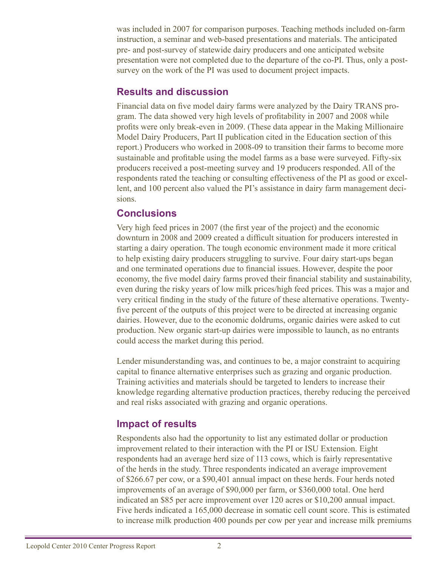was included in 2007 for comparison purposes. Teaching methods included on-farm instruction, a seminar and web-based presentations and materials. The anticipated pre- and post-survey of statewide dairy producers and one anticipated website presentation were not completed due to the departure of the co-PI. Thus, only a postsurvey on the work of the PI was used to document project impacts.

### **Results and discussion**

Financial data on five model dairy farms were analyzed by the Dairy TRANS program. The data showed very high levels of profitability in 2007 and 2008 while profits were only break-even in 2009. (These data appear in the Making Millionaire Model Dairy Producers, Part II publication cited in the Education section of this report.) Producers who worked in 2008-09 to transition their farms to become more sustainable and profitable using the model farms as a base were surveyed. Fifty-six producers received a post-meeting survey and 19 producers responded. All of the respondents rated the teaching or consulting effectiveness of the PI as good or excellent, and 100 percent also valued the PI's assistance in dairy farm management decisions.

# **Conclusions**

Very high feed prices in 2007 (the first year of the project) and the economic downturn in 2008 and 2009 created a difficult situation for producers interested in starting a dairy operation. The tough economic environment made it more critical to help existing dairy producers struggling to survive. Four dairy start-ups began and one terminated operations due to financial issues. However, despite the poor economy, the five model dairy farms proved their financial stability and sustainability, even during the risky years of low milk prices/high feed prices. This was a major and very critical finding in the study of the future of these alternative operations. Twentyfive percent of the outputs of this project were to be directed at increasing organic dairies. However, due to the economic doldrums, organic dairies were asked to cut production. New organic start-up dairies were impossible to launch, as no entrants could access the market during this period.

Lender misunderstanding was, and continues to be, a major constraint to acquiring capital to finance alternative enterprises such as grazing and organic production. Training activities and materials should be targeted to lenders to increase their knowledge regarding alternative production practices, thereby reducing the perceived and real risks associated with grazing and organic operations.

# **Impact of results**

Respondents also had the opportunity to list any estimated dollar or production improvement related to their interaction with the PI or ISU Extension. Eight respondents had an average herd size of 113 cows, which is fairly representative of the herds in the study. Three respondents indicated an average improvement of \$266.67 per cow, or a \$90,401 annual impact on these herds. Four herds noted improvements of an average of \$90,000 per farm, or \$360,000 total. One herd indicated an \$85 per acre improvement over 120 acres or \$10,200 annual impact. Five herds indicated a 165,000 decrease in somatic cell count score. This is estimated to increase milk production 400 pounds per cow per year and increase milk premiums